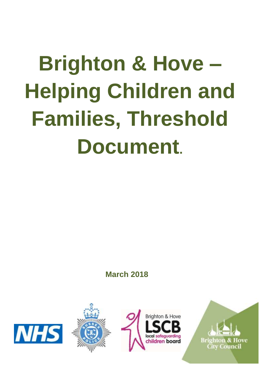# **Brighton & Hove – Helping Children and Families, Threshold Document.**

**March 2018**







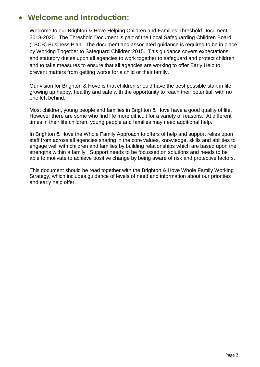## **Welcome and Introduction:**

Welcome to our Brighton & Hove Helping Children and Families Threshold Document 2018-2020. The Threshold Document is part of the Local Safeguarding Children Board (LSCB) Business Plan. The document and associated guidance is required to be in place by Working Together to Safeguard Children 2015. This guidance covers expectations and statutory duties upon all agencies to work together to safeguard and protect children and to take measures to ensure that all agencies are working to offer Early Help to prevent matters from getting worse for a child or their family.

Our vision for Brighton & Hove is that children should have the best possible start in life, growing up happy, healthy and safe with the opportunity to reach their potential, with no one left behind.

Most children, young people and families in Brighton & Hove have a good quality of life. However there are some who find life more difficult for a variety of reasons. At different times in their life children, young people and families may need additional help.

In Brighton & Hove the Whole Family Approach to offers of help and support relies upon staff from across all agencies sharing in the core values, knowledge, skills and abilities to engage well with children and families by building relationships which are based upon the strengths within a family. Support needs to be focussed on solutions and needs to be able to motivate to achieve positive change by being aware of risk and protective factors.

This document should be read together with the Brighton & Hove Whole Family Working Strategy, which includes guidance of levels of need and information about our priorities and early help offer.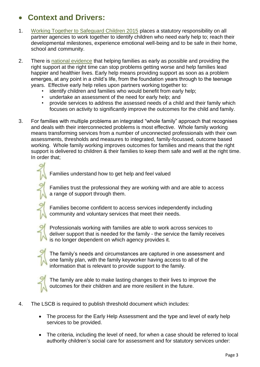# **Context and Drivers:**

- 1. [Working Together to Safeguard Children 2015](http://www.workingtogetheronline.co.uk/) places a statutory responsibility on all partner agencies to work together to identify children who need early help to; reach their developmental milestones, experience emotional well-being and to be safe in their home, school and community.
- 2. There is [national evidence](http://www.eif.org.uk/what-is-early-intervention/) that helping families as early as possible and providing the right support at the right time can stop problems getting worse and help families lead happier and healthier lives. Early help means providing support as soon as a problem emerges, at any point in a child's life, from the foundation years through to the teenage years. Effective early help relies upon partners working together to:
	- identify children and families who would benefit from early help;
	- undertake an assessment of the need for early help; and
	- provide services to address the assessed needs of a child and their family which focuses on activity to significantly improve the outcomes for the child and family.
- 3. For families with multiple problems an integrated "whole family" approach that recognises and deals with their interconnected problems is most effective. Whole family working means transforming services from a number of unconnected professionals with their own assessments, thresholds and measures to integrated, family-focussed, outcome based working. Whole family working improves outcomes for families and means that the right support is delivered to children & their families to keep them safe and well at the right time. In order that;

Families understand how to get help and feel valued

Families trust the professional they are working with and are able to access a range of support through them.



Families become confident to access services independently including community and voluntary services that meet their needs.

Professionals working with families are able to work across services to deliver support that is needed for the family - the service the family receives is no longer dependent on which agency provides it.



The family's needs and circumstances are captured in one assessment and one family plan, with the family keyworker having access to all of the information that is relevant to provide support to the family.



The family are able to make lasting changes to their lives to improve the outcomes for their children and are more resilient in the future.

#### 4. The LSCB is required to publish threshold document which includes:

- The process for the Early Help Assessment and the type and level of early help services to be provided.
- The criteria, including the level of need, for when a case should be referred to local authority children's social care for assessment and for statutory services under: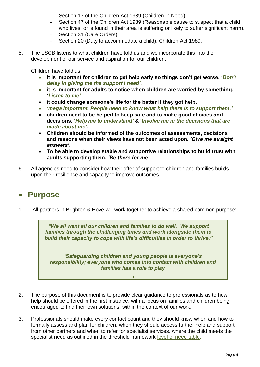- Section 17 of the Children Act 1989 (Children in Need)
- Section 47 of the Children Act 1989 (Reasonable cause to suspect that a child who lives, or is found in their area is suffering or likely to suffer significant harm).
- Section 31 (Care Orders).
- Section 20 (Duty to accommodate a child), Children Act 1989.
- 5. The LSCB listens to what children have told us and we incorporate this into the development of our service and aspiration for our children.

Children have told us:

- **it is important for children to get help early so things don't get worse. '***Don't delay in giving me the support I need'.*
- **it is important for adults to notice when children are worried by something. '***Listen to me'.*
- **it could change someone's life for the better if they got help.**
- *'mega important. People need to know what help there is to support them.'*
- **children need to be helped to keep safe and to make good choices and decisions.** *'Help me to understand'* **& '***Involve me in the decisions that are made about me'.*
- **Children should be informed of the outcomes of assessments, decisions and reasons when their views have not been acted upon.** *'Give me straight answers'.*
- **To be able to develop stable and supportive relationships to build trust with adults supporting them.** *'Be there for me'.*
- 6. All agencies need to consider how their offer of support to children and families builds upon their resilience and capacity to improve outcomes.

### **Purpose**

1. All partners in Brighton & Hove will work together to achieve a shared common purpose:

*"We all want all our children and families to do well. We support families through the challenging times and work alongside them to build their capacity to cope with life's difficulties in order to thrive."*

*'Safeguarding children and young people is everyone's responsibility; everyone who comes into contact with children and families has a role to play*

*'*

- 2. The purpose of this document is to provide clear guidance to professionals as to how help should be offered in the first instance, with a focus on families and children being encouraged to find their own solutions, within the context of our work.
- 3. Professionals should make every contact count and they should know when and how to formally assess and plan for children, when they should access further help and support from other partners and when to refer for specialist services, where the child meets the specialist need as outlined in the threshold framework [level of need table.](http://brightonandhovelscb.org.uk/wp-content/uploads/Threshold-Framework-Poster.pdf)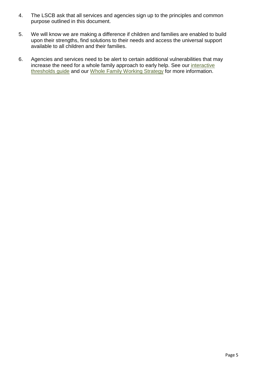- 4. The LSCB ask that all services and agencies sign up to the principles and common purpose outlined in this document.
- 5. We will know we are making a difference if children and families are enabled to build upon their strengths, find solutions to their needs and access the universal support available to all children and their families.
- 6. Agencies and services need to be alert to certain additional vulnerabilities that may increase the need for a whole family approach to early help. See our [interactive](http://brightonandhovelscb.org.uk/brighton-hove-threshold-framework/) [thresholds](http://brightonandhovelscb.org.uk/brighton-hove-threshold-framework/) guide and our [Whole Family Working Strategy](http://brightonandhovelscb.org.uk/wp-content/uploads/Whole-family-working-strategy.pdf) for more information.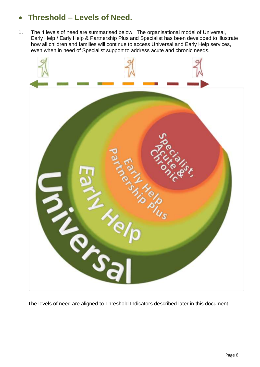# **Threshold – Levels of Need.**

1. The 4 levels of need are summarised below. The organisational model of Universal, Early Help / Early Help & Partnership Plus and Specialist has been developed to illustrate how all children and families will continue to access Universal and Early Help services, even when in need of Specialist support to address acute and chronic needs.



The levels of need are aligned to Threshold Indicators described later in this document.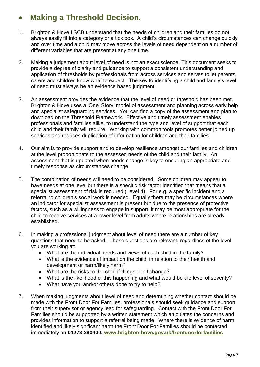# **Making a Threshold Decision.**

- 1. Brighton & Hove LSCB understand that the needs of children and their families do not always easily fit into a category or a tick box. A child's circumstances can change quickly and over time and a child may move across the levels of need dependent on a number of different variables that are present at any one time.
- 2. Making a judgement about level of need is not an exact science. This document seeks to provide a degree of clarity and guidance to support a consistent understanding and application of thresholds by professionals from across services and serves to let parents, carers and children know what to expect. The key to identifying a child and family's level of need must always be an evidence based judgment.
- 3. An assessment provides the evidence that the level of need or threshold has been met. Brighton & Hove uses a 'One' Story' model of assessment and planning across early help and specialist safeguarding services. You can find a copy of the assessment and plan to download on the Threshold Framework. Effective and timely assessment enables professionals and families alike, to understand the type and level of support that each child and their family will require. Working with common tools promotes better joined up services and reduces duplication of information for children and their families.
- 4. Our aim is to provide support and to develop resilience amongst our families and children at the level proportionate to the assessed needs of the child and their family. An assessment that is updated when needs change is key to ensuring an appropriate and timely response as circumstances change.
- 5. The combination of needs will need to be considered. Some children may appear to have needs at one level but there is a specific risk factor identified that means that a specialist assessment of risk is required (Level 4). For e.g. a specific incident and a referral to children's social work is needed. Equally there may be circumstances where an indicator for specialist assessment is present but due to the presence of protective factors, such as a willingness to engage in support, it may be most appropriate for the child to receive services at a lower level from adults where relationships are already established.
- 6. In making a professional judgment about level of need there are a number of key questions that need to be asked. These questions are relevant, regardless of the level you are working at:
	- What are the individual needs and views of each child in the family?
	- What is the evidence of impact on the child, in relation to their health and development or harm/likely harm?
	- What are the risks to the child if things don't change?
	- What is the likelihood of this happening and what would be the level of severity?
	- What have you and/or others done to try to help?
- 7. When making judgments about level of need and determining whether contact should be made with the Front Door For Families, professionals should seek guidance and support from their supervisor or agency lead for safeguarding. Contact with the Front Door For Families should be supported by a written statement which articulates the concerns and provides information to support a referral being made. Where there is evidence of harm identified and likely significant harm the Front Door For Families should be contacted immediately on **01273 290400. [www.brighton-hove.gov.uk/frontdoorforfamilies](http://www.brighton-hove.gov.uk/frontdoorforfamilies)**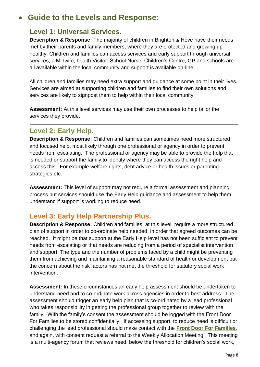# **Guide to the Levels and Response:**

#### **Level 1: Universal Services.**

**Description & Response:** The majority of children in Brighton & Hove have their needs met by their parents and family members, where they are protected and growing up healthy. Children and families can access services and early support through universal services; a Midwife, health Visitor, School Nurse, Children's Centre, GP and schools are all available within the local community and support is available on-line.

All children and families may need extra support and guidance at some point in their lives. Services are aimed at supporting children and families to find their own solutions and services are likely to signpost them to help within their local community.

**Assessment:** At this level services may use their own processes to help tailor the services they provide.

#### **Level 2: Early Help.**

**Description & Response:** Children and families can sometimes need more structured and focused help, most likely through one professional or agency in order to prevent needs from escalating. The professional or agency may be able to provide the help that is needed or support the family to identify where they can access the right help and access this. For example welfare rights, debt advice or health issues or parenting strategies etc.

**Assessment:** This level of support may not require a formal assessment and planning process but services should use the Early Help guidance and assessment to help them understand if support is working to reduce need.

#### **Level 3: Early Help Partnership Plus.**

**Description & Response:** Children and families, at this level, require a more structured plan of support in order to co-ordinate help needed, in order that agreed outcomes can be reached. It might be that support at the Early Help level has not been sufficient to prevent needs from escalating or that needs are reducing from a period of specialist intervention and support. The type and the number of problems faced by a child might be preventing them from achieving and maintaining a reasonable standard of health or development but the concern about the risk factors has not met the threshold for statutory social work intervention.

**Assessment:** In these circumstances an early help assessment should be undertaken to understand need and to co-ordinate work across agencies in order to best address. The assessment should trigger an early help plan that is co-ordinated by a lead professional who takes responsibility in getting the professional group together to review with the family. With the family's consent the assessment should be logged with the Front Door For Families to be stored confidentially. If accessing support, to reduce need is difficult or challenging the lead professional should make contact with the **[Front Door For Families](https://www.brighton-hove.gov.uk/frontdoorforfamilies)**, and again, with consent request a referral to the Weekly Allocation Meeting. This meeting is a multi-agency forum that reviews need, below the threshold for children's social work,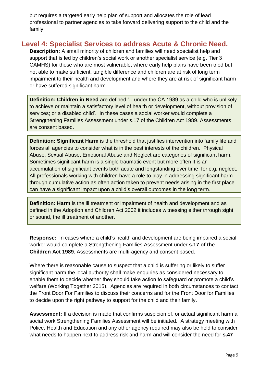but requires a targeted early help plan of support and allocates the role of lead professional to partner agencies to take forward delivering support to the child and the family

#### **Level 4: Specialist Services to address Acute & Chronic Need.**

**Description:** A small minority of children and families will need specialist help and support that is led by children's social work or another specialist service (e.g. Tier 3 CAMHS) for those who are most vulnerable, where early help plans have been tried but not able to make sufficient, tangible difference and children are at risk of long term impairment to their health and development and where they are at risk of significant harm or have suffered significant harm.

**Definition: Children in Need** are defined '…under the CA 1989 as a child who is unlikely to achieve or maintain a satisfactory level of health or development, without provision of services; or a disabled child'. In these cases a social worker would complete a Strengthening Families Assessment under s.17 of the Children Act 1989. Assessments are consent based.

**Definition: Significant Harm** is the threshold that justifies intervention into family life and forces all agencies to consider what is in the best interests of the children. Physical Abuse, Sexual Abuse, Emotional Abuse and Neglect are categories of significant harm. Sometimes significant harm is a single traumatic event but more often it is an accumulation of significant events both acute and longstanding over time, for e.g. neglect. All professionals working with children have a role to play in addressing significant harm through cumulative action as often action taken to prevent needs arising in the first place can have a significant impact upon a child's overall outcomes in the long term.

**Definition: Harm** is the ill treatment or impairment of health and development and as defined in the Adoption and Children Act 2002 it includes witnessing either through sight or sound, the ill treatment of another.

**Response:** In cases where a child's health and development are being impaired a social worker would complete a Strengthening Families Assessment under **s.17 of the Children Act 1989**. Assessments are multi-agency and consent based.

Where there is reasonable cause to suspect that a child is suffering or likely to suffer significant harm the local authority shall make enquiries as considered necessary to enable them to decide whether they should take action to safeguard or promote a child's welfare (Working Together 2015). Agencies are required in both circumstances to contact the Front Door For Families to discuss their concerns and for the Front Door for Families to decide upon the right pathway to support for the child and their family.

**Assessment:** If a decision is made that confirms suspicion of, or actual significant harm a social work Strengthening Families Assessment will be initiated. A strategy meeting with Police, Health and Education and any other agency required may also be held to consider what needs to happen next to address risk and harm and will consider the need for **s.47**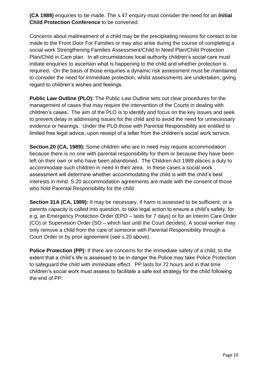**(CA 1989)** enquiries to be made. The s.47 enquiry must consider the need for an **Initial Child Protection Conference** to be convened.

Concerns about maltreatment of a child may be the precipitating reasons for contact to be made to the Front Door For Families or may also arise during the course of completing a social work Strengthening Families Assessment/Child In Need Plan/Child Protection Plan/Child in Care plan. In all circumstances local authority children's social care must initiate enquiries to ascertain what is happening to the child and whether protection is required. On the basis of those enquiries a dynamic risk assessment must be maintained to consider the need for immediate protection, whilst assessments are undertaken, giving regard to children's wishes and feelings.

**Public Law Outline (PLO):** The Public Law Outline sets out clear procedures for the management of cases that may require the intervention of the Courts in dealing with children's cases. The aim of the PLO is to identify and focus on the key issues and seek to prevent delay in addressing issues for the child and to avoid the need for unnecessary evidence or hearings. Under the PLO those with Parental Responsibility are entitled to limited free legal advice, upon receipt of a letter from the children's social work service.

**Section.20 (CA, 1989):** Some children who are in need may require accommodation because there is no one with parental responsibility for them or because they have been left on their own or who have been abandoned. The Children Act 1989 places a duty to accommodate such children in need in their area. In these cases a social work assessment will determine whether accommodating the child is with the child's best interests in mind. S.20 accommodation agreements are made with the consent of those who hold Parental Responsibility for the child.

**Section 31A (CA, 1989):** It may be necessary, if harm is assessed to be sufficient, or a parents capacity is called into question, to take legal action to ensure a child's safety, for e.g. an Emergency Protection Order (EPO – lasts for 7 days) or for an Interim Care Order (CO) or Supervision Order (SO – which last until the Court decides). A social worker may only remove a child from the care of someone with Parental Responsibility through a Court Order or by prior agreement (see s.20 above).

**Police Protection (PP):** If there are concerns for the immediate safety of a child, to the extent that a child's life is assessed to be in danger the Police may take Police Protection to safeguard the child with immediate effect. PP lasts for 72 hours and in that time children's social work must assess to facilitate a safe exit strategy for the child following the end of PP.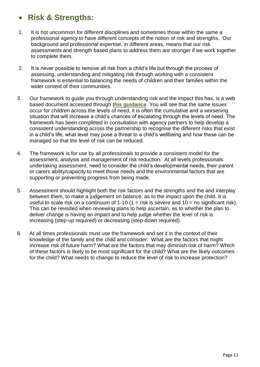## **Risk & Strengths:**

- 1. It is not uncommon for different disciplines and sometimes those within the same a professional agency to have different concepts of the notion of risk and strengths. Our background and professional expertise, in different areas, means that our risk assessments and strength based plans to address them are stronger if we work together to complete them.
- 2. It is never possible to remove all risk from a child's life but through the process of assessing, understanding and mitigating risk through working with a consistent framework is essential to balancing the needs of children and their families within the wider context of their communities.
- 3. Our framework to guide you through understanding risk and the impact this has, is a web based document accessed through **[this guidance](http://brightonandhovelscb.org.uk/whole-family-working-strategy-thresholds-consultation/)**. You will see that the same issues occur for children across the levels of need, it is often the cumulative and a worsening situation that will increase a child's chances of escalating through the levels of need. The framework has been completed in consultation with agency partners to help develop a consistent understanding across the partnership to recognise the different risks that exist in a child's life, what level may pose a threat to a child's wellbeing and how these can be managed so that the level of risk can be reduced.
- 4. The framework is for use by all professionals to provide a consistent model for the assessment, analysis and management of risk reduction. At all levels professionals undertaking assessment, need to consider the child's developmental needs, their parent or carers ability/capacity to meet those needs and the environmental factors that are supporting or preventing progress from being made.
- 5. Assessment should highlight both the risk factors and the strengths and the and interplay between them, to make a judgement on balance, as to the impact upon the child. It is useful to scale risk on a continuum of 1-10 (1 = risk is severe and  $10 =$  no significant risk). This can be revisited when reviewing plans to help ascertain, as to whether the plan to deliver change is having an impact and to help judge whether the level of risk is increasing (step-up required) or decreasing (step-down required).
- 6. At all times professionals must use the framework and set it in the context of their knowledge of the family and the child and consider: What are the factors that might increase risk of future harm? What are the factors that may diminish risk of harm? Which of these factors is likely to be most significant for the child? What are the likely outcomes for the child? What needs to change to reduce the level of risk to increase protection?